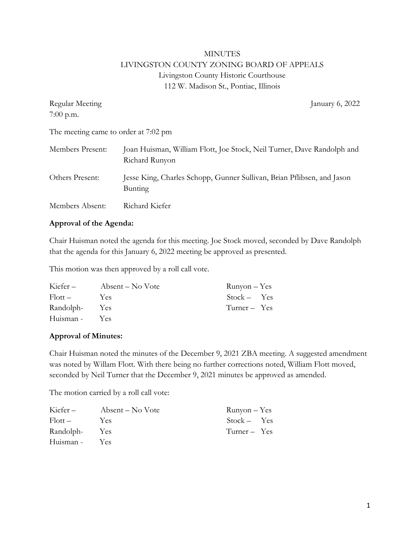# MINUTES LIVINGSTON COUNTY ZONING BOARD OF APPEALS Livingston County Historic Courthouse 112 W. Madison St., Pontiac, Illinois

| Regular Meeting                      | January 6, 2022                                                                          |
|--------------------------------------|------------------------------------------------------------------------------------------|
| $7:00$ p.m.                          |                                                                                          |
| The meeting came to order at 7:02 pm |                                                                                          |
| Members Present:                     | Joan Huisman, William Flott, Joe Stock, Neil Turner, Dave Randolph and<br>Richard Runyon |
| Others Present:                      | Jesse King, Charles Schopp, Gunner Sullivan, Brian Pflibsen, and Jason<br>Bunting        |
| Members Absent:                      | Richard Kiefer                                                                           |

### **Approval of the Agenda:**

Chair Huisman noted the agenda for this meeting. Joe Stock moved, seconded by Dave Randolph that the agenda for this January 6, 2022 meeting be approved as presented.

This motion was then approved by a roll call vote.

| Kiefer –      | Absent – No Vote | $Runyon - Yes$ |
|---------------|------------------|----------------|
| $Flott -$     | <b>Yes</b>       | $Stock - Yes$  |
| Randolph- Yes |                  | $Turner - Yes$ |
| Huisman -     | Yes <sup>-</sup> |                |

## **Approval of Minutes:**

Chair Huisman noted the minutes of the December 9, 2021 ZBA meeting. A suggested amendment was noted by Willam Flott. With there being no further corrections noted, William Flott moved, seconded by Neil Turner that the December 9, 2021 minutes be approved as amended.

The motion carried by a roll call vote:

| Kiefer-           | Absent – No Vote | $Runyon - Yes$ |  |
|-------------------|------------------|----------------|--|
| $F_{\rm l}$ ott – | Yes.             | $Stock - Yes$  |  |
| Randolph-         | Yes              | $Turner - Yes$ |  |
| Huisman -         | <b>Yes</b>       |                |  |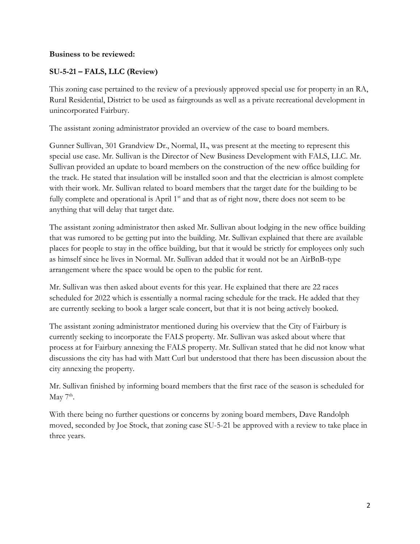### **Business to be reviewed:**

# **SU-5-21 – FALS, LLC (Review)**

This zoning case pertained to the review of a previously approved special use for property in an RA, Rural Residential, District to be used as fairgrounds as well as a private recreational development in unincorporated Fairbury.

The assistant zoning administrator provided an overview of the case to board members.

Gunner Sullivan, 301 Grandview Dr., Normal, IL, was present at the meeting to represent this special use case. Mr. Sullivan is the Director of New Business Development with FALS, LLC. Mr. Sullivan provided an update to board members on the construction of the new office building for the track. He stated that insulation will be installed soon and that the electrician is almost complete with their work. Mr. Sullivan related to board members that the target date for the building to be fully complete and operational is April  $1<sup>st</sup>$  and that as of right now, there does not seem to be anything that will delay that target date.

The assistant zoning administrator then asked Mr. Sullivan about lodging in the new office building that was rumored to be getting put into the building. Mr. Sullivan explained that there are available places for people to stay in the office building, but that it would be strictly for employees only such as himself since he lives in Normal. Mr. Sullivan added that it would not be an AirBnB-type arrangement where the space would be open to the public for rent.

Mr. Sullivan was then asked about events for this year. He explained that there are 22 races scheduled for 2022 which is essentially a normal racing schedule for the track. He added that they are currently seeking to book a larger scale concert, but that it is not being actively booked.

The assistant zoning administrator mentioned during his overview that the City of Fairbury is currently seeking to incorporate the FALS property. Mr. Sullivan was asked about where that process at for Fairbury annexing the FALS property. Mr. Sullivan stated that he did not know what discussions the city has had with Matt Curl but understood that there has been discussion about the city annexing the property.

Mr. Sullivan finished by informing board members that the first race of the season is scheduled for May  $7<sup>th</sup>$ .

With there being no further questions or concerns by zoning board members, Dave Randolph moved, seconded by Joe Stock, that zoning case SU-5-21 be approved with a review to take place in three years.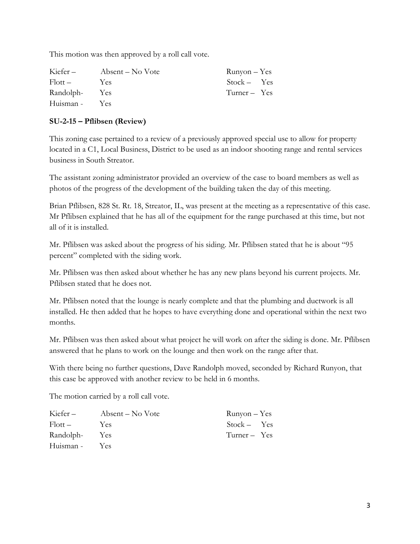This motion was then approved by a roll call vote.

| Kiefer-   | Absent – No Vote | Runyon – Yes   |  |
|-----------|------------------|----------------|--|
| Flott –   | Yes.             | $Stock - Yes$  |  |
| Randolph- | Yes              | $Turner - Yes$ |  |
| Huisman - | Yes <sup>-</sup> |                |  |

## **SU-2-15 – Pflibsen (Review)**

This zoning case pertained to a review of a previously approved special use to allow for property located in a C1, Local Business, District to be used as an indoor shooting range and rental services business in South Streator.

The assistant zoning administrator provided an overview of the case to board members as well as photos of the progress of the development of the building taken the day of this meeting.

Brian Pflibsen, 828 St. Rt. 18, Streator, IL, was present at the meeting as a representative of this case. Mr Pflibsen explained that he has all of the equipment for the range purchased at this time, but not all of it is installed.

Mr. Pflibsen was asked about the progress of his siding. Mr. Pflibsen stated that he is about "95 percent" completed with the siding work.

Mr. Pflibsen was then asked about whether he has any new plans beyond his current projects. Mr. Pflibsen stated that he does not.

Mr. Pflibsen noted that the lounge is nearly complete and that the plumbing and ductwork is all installed. He then added that he hopes to have everything done and operational within the next two months.

Mr. Pflibsen was then asked about what project he will work on after the siding is done. Mr. Pflibsen answered that he plans to work on the lounge and then work on the range after that.

With there being no further questions, Dave Randolph moved, seconded by Richard Runyon, that this case be approved with another review to be held in 6 months.

The motion carried by a roll call vote.

| Kiefer-           | Absent – No Vote | $Runyon - Yes$ |  |
|-------------------|------------------|----------------|--|
| $F_{\rm l}$ ott – | Yes.             | $Stock - Yes$  |  |
| Randolph-         | Yes              | $Turner - Yes$ |  |
| Huisman -         | Yes.             |                |  |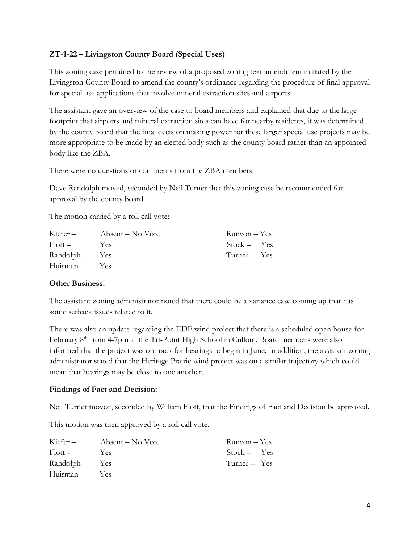## **ZT-1-22 – Livingston County Board (Special Uses)**

This zoning case pertained to the review of a proposed zoning text amendment initiated by the Livingston County Board to amend the county's ordinance regarding the procedure of final approval for special use applications that involve mineral extraction sites and airports.

The assistant gave an overview of the case to board members and explained that due to the large footprint that airports and mineral extraction sites can have for nearby residents, it was determined by the county board that the final decision making power for these larger special use projects may be more appropriate to be made by an elected body such as the county board rather than an appointed body like the ZBA.

There were no questions or comments from the ZBA members.

Dave Randolph moved, seconded by Neil Turner that this zoning case be recommended for approval by the county board.

The motion carried by a roll call vote:

| Kiefer –  | Absent – No Vote | $Runyon - Yes$ |  |
|-----------|------------------|----------------|--|
| Flott –   | Yes.             | $Stock - Yes$  |  |
| Randolph- | Yes              | $Turner - Yes$ |  |
| Huisman - | Yes <sup>-</sup> |                |  |

### **Other Business:**

The assistant zoning administrator noted that there could be a variance case coming up that has some setback issues related to it.

There was also an update regarding the EDF wind project that there is a scheduled open house for February 8<sup>th</sup> from 4-7pm at the Tri-Point High School in Cullom. Board members were also informed that the project was on track for hearings to begin in June. In addition, the assistant zoning administrator stated that the Heritage Prairie wind project was on a similar trajectory which could mean that hearings may be close to one another.

### **Findings of Fact and Decision:**

Neil Turner moved, seconded by William Flott, that the Findings of Fact and Decision be approved.

This motion was then approved by a roll call vote.

| Kiefer-   | Absent – No Vote | $Runyon - Yes$ |  |
|-----------|------------------|----------------|--|
| Flott –   | Yes.             | $Stock - Yes$  |  |
| Randolph- | Yes              | Turner – Yes   |  |
| Huisman - | <b>Yes</b>       |                |  |